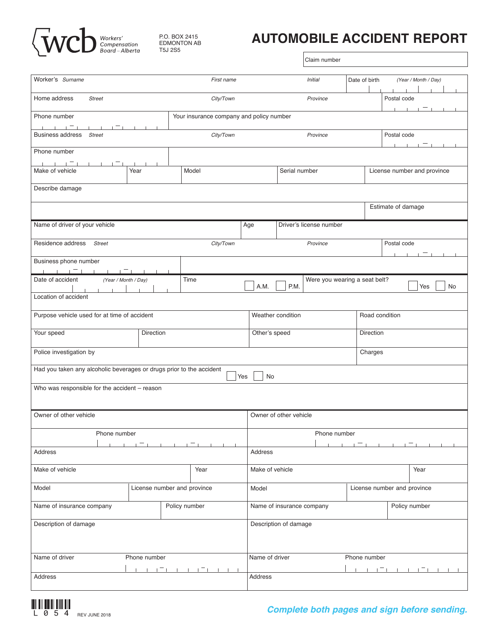

*P.O. BOX 2415 EDMONTON AB* P.O. BOX 2415 EDMONTON AB T5J 2S5

## **AUTOMOBILE ACCIDENT REPORT AUTOMOBILE ACCIDENT REPORT**

Claim number

|                                                                                   |                          |               |            |                                |                                     | Claim number                  |                               |                                             |                  |
|-----------------------------------------------------------------------------------|--------------------------|---------------|------------|--------------------------------|-------------------------------------|-------------------------------|-------------------------------|---------------------------------------------|------------------|
|                                                                                   |                          |               |            |                                |                                     |                               |                               |                                             |                  |
| Worker's Surname                                                                  |                          |               | First name |                                | <b>Initial</b>                      |                               | Date of birth                 | (Year / Month / Day)                        |                  |
| Home address<br><b>Street</b>                                                     |                          |               | City/Town  |                                | Province                            |                               |                               | Postal code                                 |                  |
| $\sim$ 1.<br>Phone number<br>Your insurance company and policy number             |                          |               |            |                                |                                     |                               |                               |                                             |                  |
| フォニュー コール・エール<br>Business address Street                                          | <b>Contract Contract</b> |               | City/Town  |                                |                                     |                               |                               |                                             |                  |
|                                                                                   |                          |               |            |                                | Province                            |                               |                               | Postal code<br>$= 1 - 1 - 1$<br>$1 - 1 - 1$ |                  |
| Phone number                                                                      |                          |               |            |                                |                                     |                               |                               |                                             |                  |
| <u> 1991 - 1991 - 1991 - 1992 1</u><br>Make of vehicle<br>Year<br>Model           |                          |               |            | Serial number                  |                                     |                               |                               | License number and province                 |                  |
| Describe damage                                                                   |                          |               |            |                                |                                     |                               |                               |                                             |                  |
|                                                                                   |                          |               |            |                                | Estimate of damage                  |                               |                               |                                             |                  |
| Name of driver of your vehicle                                                    |                          |               |            |                                | Age<br>Driver's license number      |                               |                               |                                             |                  |
| Residence address<br>Street<br>City/Town                                          |                          |               |            | Province                       |                                     |                               | Postal code<br>$\blacksquare$ |                                             |                  |
| Business phone number                                                             |                          |               |            |                                |                                     |                               |                               |                                             |                  |
|                                                                                   |                          |               |            |                                |                                     |                               |                               |                                             |                  |
| Date of accident<br>(Year / Month / Day)                                          |                          | Time          |            | A.M.                           | P.M.                                | Were you wearing a seat belt? |                               |                                             | Yes<br><b>No</b> |
| <b>The Charles</b><br>Location of accident                                        |                          |               |            |                                |                                     |                               |                               |                                             |                  |
| Purpose vehicle used for at time of accident                                      |                          |               |            |                                | Weather condition<br>Road condition |                               |                               |                                             |                  |
| Your speed<br>Direction                                                           |                          |               |            | Other's speed<br>Direction     |                                     |                               |                               |                                             |                  |
| Police investigation by                                                           |                          |               |            |                                | Charges                             |                               |                               |                                             |                  |
| Had you taken any alcoholic beverages or drugs prior to the accident<br>Yes<br>No |                          |               |            |                                |                                     |                               |                               |                                             |                  |
|                                                                                   |                          |               |            |                                |                                     |                               |                               |                                             |                  |
| Who was responsible for the accident - reason                                     |                          |               |            |                                |                                     |                               |                               |                                             |                  |
| Owner of other vehicle                                                            |                          |               |            |                                | Owner of other vehicle              |                               |                               |                                             |                  |
| Phone number                                                                      |                          |               |            | Phone number                   |                                     |                               |                               |                                             |                  |
|                                                                                   |                          |               |            |                                |                                     |                               |                               |                                             |                  |
| Address                                                                           |                          |               |            | Address                        |                                     |                               |                               |                                             |                  |
| Make of vehicle<br>Year                                                           |                          |               |            | Make of vehicle<br>Year        |                                     |                               |                               |                                             |                  |
| Model<br>License number and province                                              |                          |               | Model      | License number and province    |                                     |                               |                               |                                             |                  |
| Name of insurance company                                                         |                          | Policy number |            |                                | Name of insurance company           |                               |                               | Policy number                               |                  |
| Description of damage                                                             |                          |               |            | Description of damage          |                                     |                               |                               |                                             |                  |
| Name of driver<br>Phone number                                                    |                          |               |            | Name of driver<br>Phone number |                                     |                               |                               |                                             |                  |
| $\blacksquare$<br>Address                                                         |                          |               |            | Address                        |                                     |                               |                               |                                             |                  |